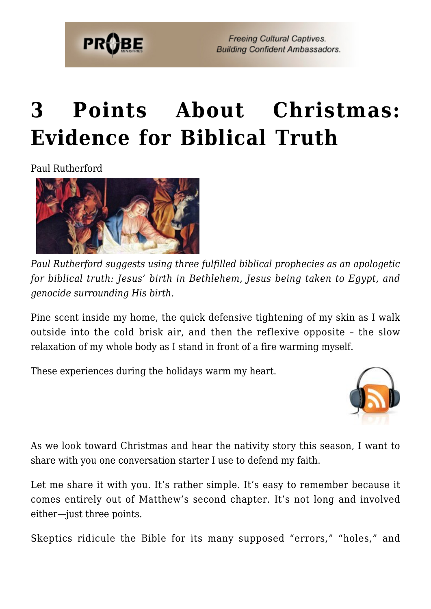

**Freeing Cultural Captives. Building Confident Ambassadors.** 

# **[3 Points About Christmas:](https://probe.org/3-points-about-christmas-evidence-for-biblical-truth/) [Evidence for Biblical Truth](https://probe.org/3-points-about-christmas-evidence-for-biblical-truth/)**

Paul Rutherford



*Paul Rutherford suggests using three fulfilled biblical prophecies as an apologetic for biblical truth: Jesus' birth in Bethlehem, Jesus being taken to Egypt, and genocide surrounding His birth.*

Pine scent inside my home, the quick defensive tightening of my skin as I walk outside into the cold brisk air, and then the reflexive opposite – the slow relaxation of my whole body as I stand in front of a fire warming myself.

These experiences during the holidays warm my heart.



As we look toward Christmas and hear the nativity story this season, I want to share with you one conversation starter I use to defend my faith.

Let me share it with you. It's rather simple. It's easy to remember because it comes entirely out of Matthew's second chapter. It's not long and involved either—just three points.

Skeptics ridicule the Bible for its many supposed "errors," "holes," and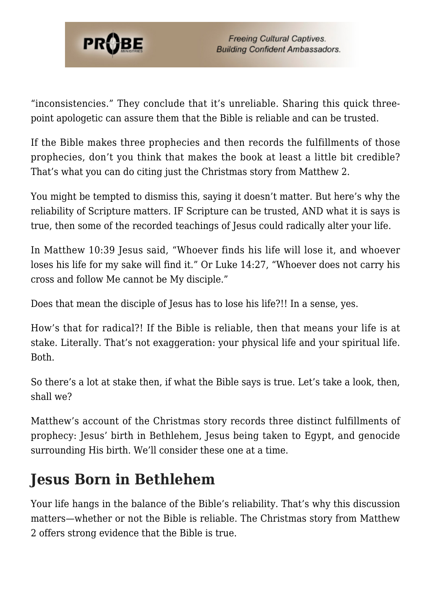

"inconsistencies." They conclude that it's unreliable. Sharing this quick threepoint apologetic can assure them that the Bible is reliable and can be trusted.

If the Bible makes three prophecies and then records the fulfillments of those prophecies, don't you think that makes the book at least a little bit credible? That's what you can do citing just the Christmas story from Matthew 2.

You might be tempted to dismiss this, saying it doesn't matter. But here's why the reliability of Scripture matters. IF Scripture can be trusted, AND what it is says is true, then some of the recorded teachings of Jesus could radically alter your life.

In Matthew 10:39 Jesus said, "Whoever finds his life will lose it, and whoever loses his life for my sake will find it." Or Luke 14:27, "Whoever does not carry his cross and follow Me cannot be My disciple."

Does that mean the disciple of Jesus has to lose his life?!! In a sense, yes.

How's that for radical?! If the Bible is reliable, then that means your life is at stake. Literally. That's not exaggeration: your physical life and your spiritual life. Both.

So there's a lot at stake then, if what the Bible says is true. Let's take a look, then, shall we?

Matthew's account of the Christmas story records three distinct fulfillments of prophecy: Jesus' birth in Bethlehem, Jesus being taken to Egypt, and genocide surrounding His birth. We'll consider these one at a time.

## **Jesus Born in Bethlehem**

Your life hangs in the balance of the Bible's reliability. That's why this discussion matters—whether or not the Bible is reliable. The Christmas story from Matthew 2 offers strong evidence that the Bible is true.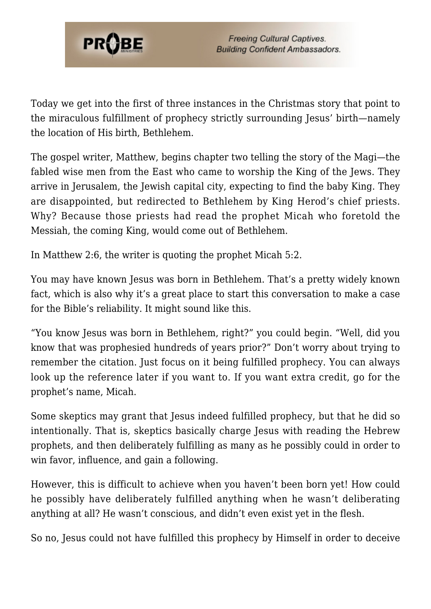

Today we get into the first of three instances in the Christmas story that point to the miraculous fulfillment of prophecy strictly surrounding Jesus' birth—namely the location of His birth, Bethlehem.

The gospel writer, Matthew, begins chapter two telling the story of the Magi—the fabled wise men from the East who came to worship the King of the Jews. They arrive in Jerusalem, the Jewish capital city, expecting to find the baby King. They are disappointed, but redirected to Bethlehem by King Herod's chief priests. Why? Because those priests had read the prophet Micah who foretold the Messiah, the coming King, would come out of Bethlehem.

In Matthew 2:6, the writer is quoting the prophet Micah 5:2.

You may have known Jesus was born in Bethlehem. That's a pretty widely known fact, which is also why it's a great place to start this conversation to make a case for the Bible's reliability. It might sound like this.

"You know Jesus was born in Bethlehem, right?" you could begin. "Well, did you know that was prophesied hundreds of years prior?" Don't worry about trying to remember the citation. Just focus on it being fulfilled prophecy. You can always look up the reference later if you want to. If you want extra credit, go for the prophet's name, Micah.

Some skeptics may grant that Jesus indeed fulfilled prophecy, but that he did so intentionally. That is, skeptics basically charge Jesus with reading the Hebrew prophets, and then deliberately fulfilling as many as he possibly could in order to win favor, influence, and gain a following.

However, this is difficult to achieve when you haven't been born yet! How could he possibly have deliberately fulfilled anything when he wasn't deliberating anything at all? He wasn't conscious, and didn't even exist yet in the flesh.

So no, Jesus could not have fulfilled this prophecy by Himself in order to deceive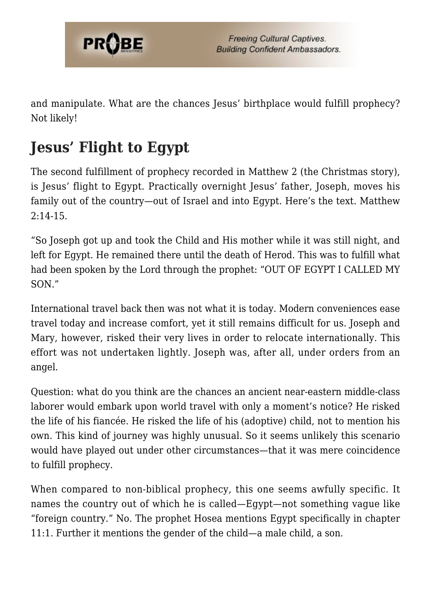

and manipulate. What are the chances Jesus' birthplace would fulfill prophecy? Not likely!

# **Jesus' Flight to Egypt**

The second fulfillment of prophecy recorded in Matthew 2 (the Christmas story), is Jesus' flight to Egypt. Practically overnight Jesus' father, Joseph, moves his family out of the country—out of Israel and into Egypt. Here's the text. Matthew  $2:14-15$ .

"So Joseph got up and took the Child and His mother while it was still night, and left for Egypt. He remained there until the death of Herod. This was to fulfill what had been spoken by the Lord through the prophet: "OUT OF EGYPT I CALLED MY SON."

International travel back then was not what it is today. Modern conveniences ease travel today and increase comfort, yet it still remains difficult for us. Joseph and Mary, however, risked their very lives in order to relocate internationally. This effort was not undertaken lightly. Joseph was, after all, under orders from an angel.

Question: what do you think are the chances an ancient near-eastern middle-class laborer would embark upon world travel with only a moment's notice? He risked the life of his fiancée. He risked the life of his (adoptive) child, not to mention his own. This kind of journey was highly unusual. So it seems unlikely this scenario would have played out under other circumstances—that it was mere coincidence to fulfill prophecy.

When compared to non-biblical prophecy, this one seems awfully specific. It names the country out of which he is called—Egypt—not something vague like "foreign country." No. The prophet Hosea mentions Egypt specifically in chapter 11:1. Further it mentions the gender of the child—a male child, a son.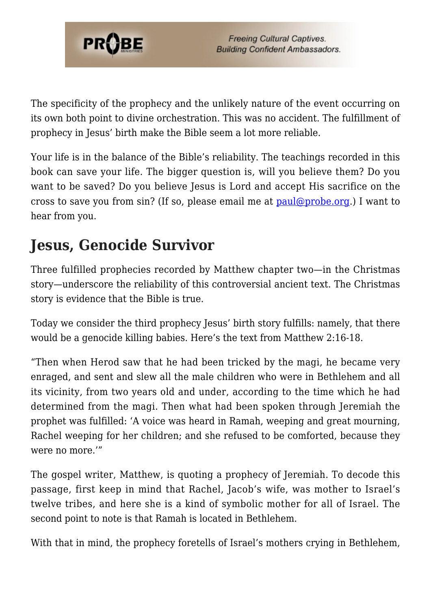

The specificity of the prophecy and the unlikely nature of the event occurring on its own both point to divine orchestration. This was no accident. The fulfillment of prophecy in Jesus' birth make the Bible seem a lot more reliable.

Your life is in the balance of the Bible's reliability. The teachings recorded in this book can save your life. The bigger question is, will you believe them? Do you want to be saved? Do you believe Jesus is Lord and accept His sacrifice on the cross to save you from sin? (If so, please email me at [paul@probe.org](mailto:paul@probe.org).) I want to hear from you.

#### **Jesus, Genocide Survivor**

Three fulfilled prophecies recorded by Matthew chapter two—in the Christmas story—underscore the reliability of this controversial ancient text. The Christmas story is evidence that the Bible is true.

Today we consider the third prophecy Jesus' birth story fulfills: namely, that there would be a genocide killing babies. Here's the text from Matthew 2:16-18.

"Then when Herod saw that he had been tricked by the magi, he became very enraged, and sent and slew all the male children who were in Bethlehem and all its vicinity, from two years old and under, according to the time which he had determined from the magi. Then what had been spoken through Jeremiah the prophet was fulfilled: 'A voice was heard in Ramah, weeping and great mourning, Rachel weeping for her children; and she refused to be comforted, because they were no more.'"

The gospel writer, Matthew, is quoting a prophecy of Jeremiah. To decode this passage, first keep in mind that Rachel, Jacob's wife, was mother to Israel's twelve tribes, and here she is a kind of symbolic mother for all of Israel. The second point to note is that Ramah is located in Bethlehem.

With that in mind, the prophecy foretells of Israel's mothers crying in Bethlehem,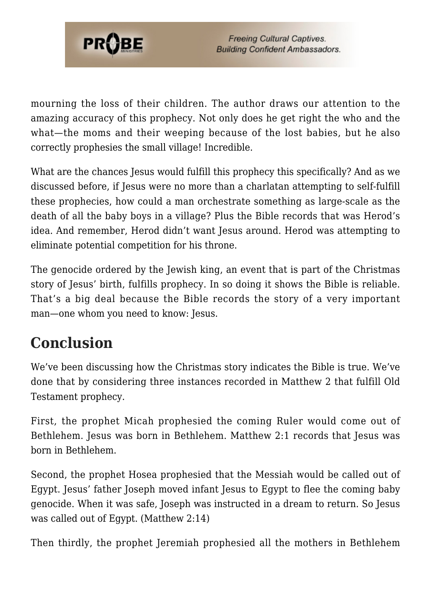

mourning the loss of their children. The author draws our attention to the amazing accuracy of this prophecy. Not only does he get right the who and the what—the moms and their weeping because of the lost babies, but he also correctly prophesies the small village! Incredible.

What are the chances Jesus would fulfill this prophecy this specifically? And as we discussed before, if Jesus were no more than a charlatan attempting to self-fulfill these prophecies, how could a man orchestrate something as large-scale as the death of all the baby boys in a village? Plus the Bible records that was Herod's idea. And remember, Herod didn't want Jesus around. Herod was attempting to eliminate potential competition for his throne.

The genocide ordered by the Jewish king, an event that is part of the Christmas story of Jesus' birth, fulfills prophecy. In so doing it shows the Bible is reliable. That's a big deal because the Bible records the story of a very important man—one whom you need to know: Jesus.

## **Conclusion**

We've been discussing how the Christmas story indicates the Bible is true. We've done that by considering three instances recorded in Matthew 2 that fulfill Old Testament prophecy.

First, the prophet Micah prophesied the coming Ruler would come out of Bethlehem. Jesus was born in Bethlehem. Matthew 2:1 records that Jesus was born in Bethlehem.

Second, the prophet Hosea prophesied that the Messiah would be called out of Egypt. Jesus' father Joseph moved infant Jesus to Egypt to flee the coming baby genocide. When it was safe, Joseph was instructed in a dream to return. So Jesus was called out of Egypt. (Matthew 2:14)

Then thirdly, the prophet Jeremiah prophesied all the mothers in Bethlehem